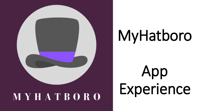

## MyHatboro

## App Experience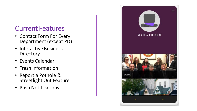#### Current Features

- Contact Form For Every Department (except PD)
- Interactive Business **Directory**
- Events Calendar
- Trash Information
- Report a Pothole & Streetlight Out Feature
- Push Notifications

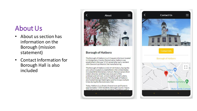#### About Us

- About us section has information on the Borough (mission statement)
- Contact Information for Borough Hall is also included



#### **Borough of Hatboro**

The Borough of Hatboro is a 1.5 square mile town located in Montgomery County, Pennsylvania. Hatboro was established in the year 1715 named after early resident John Dawson's profession: hat manufacturing.

The Borough of Hatboro is full of rich history, having the only school located on a battlefield in the United States (Crooked Billet Elementary School), Pennsylvania's third oldest Libraries, land that was once part of the underground railroad, a clock made by Isaiah Lukens, historic buildings, and more! The Borough of Hatboro also hosted George Washington and his troops multiple times during the Revolutionary War.

Today, Hatboro is a vibrant, diverse town and home to approximately 7,500 residents. Borough Council, Mayor, and staff strive to serve the residents of Hathoro with a

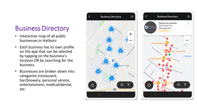#### Business Directory

- Interactive map of all public businesses in Hatboro
- Each business has its own profile on the app that can be selected by tapping on the business's location OR by searching for the business.
- Businesses are broken down into categories (restaurant, bar/brewery, personal service, entertainment, medical/dental, etc.

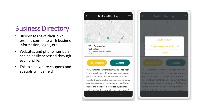#### Business Directory

- Businesses have their own profiles complete with business information, logos, etc.
- Websites and phone numbers can be easily accessed through each profile.
- This is also where coupons and specials will be held



205 Jacksonville Road, Hatboro. PA. USA **Get Directions** Contact

WNJ Automobile Upholstery & Tops has been in business for over 25 years. We have always put the customer first. We strive to provide excellent workmanship and color match. Using quality materials on a wide variety of different makes and models. No job is too big or small and our attention to detail is second to none!



WNJ Automobile Upholstery & Tops has been in business for over 25 years. We have always put the customer first. We strive to provide excellent workmanship and color match. Using quality materials on a wide variety of different makes and models. No job is too big or small and our attention to detail is second to none!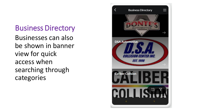### Business Directory

Businesses can also be shown in banner view for quick access when searching through categories

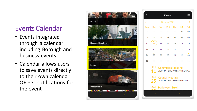#### Events Calendar

- Events integrated through a calendar including Borough and business events
- Calendar allows users to save events directly to their own calendar OR get notifications for the event



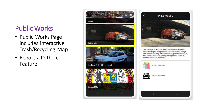#### Public Works

- Public Works Page includes interactive Trash/Recycling Map
- Report a Pothole Feature





The Borough of Hatboro Public Works Department is dedicated to providing the best services to the Borough of Hatboro including refuse collection, park maintenance, facilities maintenance, snow plowing and ice removal. road maintenance, and more!

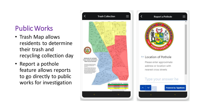#### Public Works

- Trash Map allows residents to determine their trash and recycling collection day
- Report a pothole feature allows reports to go directly to public works for investigation



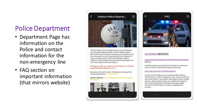### Police Department

- Department Page has information on the Police and contact information for the non-emergency line
- FAQ section on important information (that mirrors website)



We the Hatboro Police Department, are committed to providing the highest quality of public safety and law enforcement services by empowering our members and the community to work in partnership with the goal of improving the quality of life within the Borough of Hatboro, while at the same time maintaining respect for individual rights and human dignity.

Emergency Calls, any reports to the Police or incidents requiring Police Response: 9-1-1

Business Calls and to reach individuals working at the Police Department: 215-675-2832

Station Address: 120 E. Montgomery Avenue, Hatboro, PA 19040





#### **ACCIDENT REPORTS**

Under What Circumstances Must I Fill Out An Accident Report?

Accident reports must be filled out if there is a personal injury or if any of the vehicles required towing.

Can I Get A Copy Of The Police Report?

Copies of Police Reports are available at the Hatboro Police Station, 120 E. Montgomery Ave. There is a \$15.00 per police report. If any photos were taken of the incident and you require copies, there is an additional charge of \$15.00 per photograph. Whenever possible, please furnish us with the report number to expedite the process.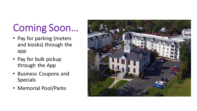### Coming Soon…

- Pay for parking (meters and kiosks) through the app
- Pay for bulk pickup through the App
- Business Coupons and Specials
- Memorial Pool/Parks